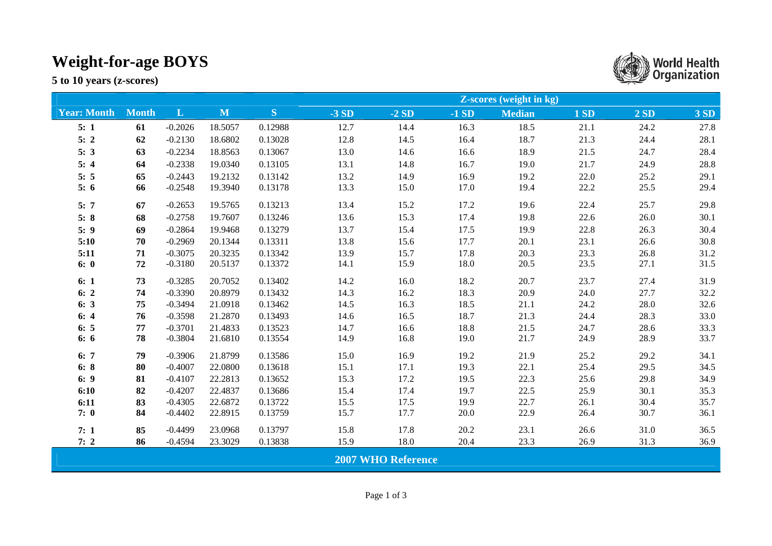## **Weight-for-age BOYS**

**5 to 10 years (z-scores)** 

|                           |              |           |              |           | <b>Z-scores (weight in kg)</b> |        |        |               |      |      |             |
|---------------------------|--------------|-----------|--------------|-----------|--------------------------------|--------|--------|---------------|------|------|-------------|
| <b>Year: Month</b>        | <b>Month</b> | L         | $\mathbf{M}$ | ${\bf S}$ | $-3SD$                         | $-2SD$ | $-1SD$ | <b>Median</b> | 1SD  | 2SD  | <b>3 SD</b> |
| 5:1                       | 61           | $-0.2026$ | 18.5057      | 0.12988   | 12.7                           | 14.4   | 16.3   | 18.5          | 21.1 | 24.2 | 27.8        |
| 5:2                       | 62           | $-0.2130$ | 18.6802      | 0.13028   | 12.8                           | 14.5   | 16.4   | 18.7          | 21.3 | 24.4 | 28.1        |
| 5:3                       | 63           | $-0.2234$ | 18.8563      | 0.13067   | 13.0                           | 14.6   | 16.6   | 18.9          | 21.5 | 24.7 | 28.4        |
| 5:4                       | 64           | $-0.2338$ | 19.0340      | 0.13105   | 13.1                           | 14.8   | 16.7   | 19.0          | 21.7 | 24.9 | 28.8        |
| 5:5                       | 65           | $-0.2443$ | 19.2132      | 0.13142   | 13.2                           | 14.9   | 16.9   | 19.2          | 22.0 | 25.2 | 29.1        |
| 5:6                       | 66           | $-0.2548$ | 19.3940      | 0.13178   | 13.3                           | 15.0   | 17.0   | 19.4          | 22.2 | 25.5 | 29.4        |
| 5:7                       | 67           | $-0.2653$ | 19.5765      | 0.13213   | 13.4                           | 15.2   | 17.2   | 19.6          | 22.4 | 25.7 | 29.8        |
| 5:8                       | 68           | $-0.2758$ | 19.7607      | 0.13246   | 13.6                           | 15.3   | 17.4   | 19.8          | 22.6 | 26.0 | 30.1        |
| 5:9                       | 69           | $-0.2864$ | 19.9468      | 0.13279   | 13.7                           | 15.4   | 17.5   | 19.9          | 22.8 | 26.3 | 30.4        |
| 5:10                      | 70           | $-0.2969$ | 20.1344      | 0.13311   | 13.8                           | 15.6   | 17.7   | 20.1          | 23.1 | 26.6 | 30.8        |
| 5:11                      | 71           | $-0.3075$ | 20.3235      | 0.13342   | 13.9                           | 15.7   | 17.8   | 20.3          | 23.3 | 26.8 | 31.2        |
| 6:0                       | 72           | $-0.3180$ | 20.5137      | 0.13372   | 14.1                           | 15.9   | 18.0   | 20.5          | 23.5 | 27.1 | 31.5        |
| 6:1                       | 73           | $-0.3285$ | 20.7052      | 0.13402   | 14.2                           | 16.0   | 18.2   | 20.7          | 23.7 | 27.4 | 31.9        |
| 6:2                       | 74           | $-0.3390$ | 20.8979      | 0.13432   | 14.3                           | 16.2   | 18.3   | 20.9          | 24.0 | 27.7 | 32.2        |
| 6:3                       | 75           | $-0.3494$ | 21.0918      | 0.13462   | 14.5                           | 16.3   | 18.5   | 21.1          | 24.2 | 28.0 | 32.6        |
| 6:4                       | 76           | $-0.3598$ | 21.2870      | 0.13493   | 14.6                           | 16.5   | 18.7   | 21.3          | 24.4 | 28.3 | 33.0        |
| 6:5                       | 77           | $-0.3701$ | 21.4833      | 0.13523   | 14.7                           | 16.6   | 18.8   | 21.5          | 24.7 | 28.6 | 33.3        |
| 6:6                       | 78           | $-0.3804$ | 21.6810      | 0.13554   | 14.9                           | 16.8   | 19.0   | 21.7          | 24.9 | 28.9 | 33.7        |
| 6:7                       | 79           | $-0.3906$ | 21.8799      | 0.13586   | 15.0                           | 16.9   | 19.2   | 21.9          | 25.2 | 29.2 | 34.1        |
| 6:8                       | 80           | $-0.4007$ | 22.0800      | 0.13618   | 15.1                           | 17.1   | 19.3   | 22.1          | 25.4 | 29.5 | 34.5        |
| 6: 9                      | 81           | $-0.4107$ | 22.2813      | 0.13652   | 15.3                           | 17.2   | 19.5   | 22.3          | 25.6 | 29.8 | 34.9        |
| 6:10                      | 82           | $-0.4207$ | 22.4837      | 0.13686   | 15.4                           | 17.4   | 19.7   | 22.5          | 25.9 | 30.1 | 35.3        |
| 6:11                      | 83           | $-0.4305$ | 22.6872      | 0.13722   | 15.5                           | 17.5   | 19.9   | 22.7          | 26.1 | 30.4 | 35.7        |
| 7:0                       | 84           | $-0.4402$ | 22.8915      | 0.13759   | 15.7                           | 17.7   | 20.0   | 22.9          | 26.4 | 30.7 | 36.1        |
| 7:1                       | 85           | $-0.4499$ | 23.0968      | 0.13797   | 15.8                           | 17.8   | 20.2   | 23.1          | 26.6 | 31.0 | 36.5        |
| 7:2                       | 86           | $-0.4594$ | 23.3029      | 0.13838   | 15.9                           | 18.0   | 20.4   | 23.3          | 26.9 | 31.3 | 36.9        |
| <b>2007 WHO Reference</b> |              |           |              |           |                                |        |        |               |      |      |             |

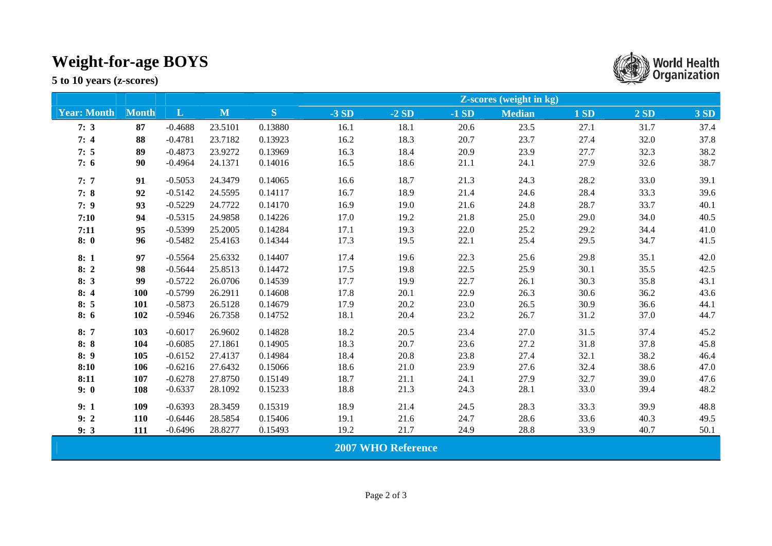## **Weight-for-age BOYS**

**5 to 10 years (z-scores)** 

|                           |              |              |         |         | <b>Z-scores (weight in kg)</b> |        |        |               |      |      |             |
|---------------------------|--------------|--------------|---------|---------|--------------------------------|--------|--------|---------------|------|------|-------------|
| <b>Year: Month</b>        | <b>Month</b> | $\mathbf{L}$ | M       | S       | $-3SD$                         | $-2SD$ | $-1SD$ | <b>Median</b> | 1SD  | 2SD  | <b>3 SD</b> |
| 7:3                       | 87           | $-0.4688$    | 23.5101 | 0.13880 | 16.1                           | 18.1   | 20.6   | 23.5          | 27.1 | 31.7 | 37.4        |
| 7:4                       | 88           | $-0.4781$    | 23.7182 | 0.13923 | 16.2                           | 18.3   | 20.7   | 23.7          | 27.4 | 32.0 | 37.8        |
| 7:5                       | 89           | $-0.4873$    | 23.9272 | 0.13969 | 16.3                           | 18.4   | 20.9   | 23.9          | 27.7 | 32.3 | 38.2        |
| 7:6                       | 90           | $-0.4964$    | 24.1371 | 0.14016 | 16.5                           | 18.6   | 21.1   | 24.1          | 27.9 | 32.6 | 38.7        |
| 7:7                       | 91           | $-0.5053$    | 24.3479 | 0.14065 | 16.6                           | 18.7   | 21.3   | 24.3          | 28.2 | 33.0 | 39.1        |
| 7:8                       | 92           | $-0.5142$    | 24.5595 | 0.14117 | 16.7                           | 18.9   | 21.4   | 24.6          | 28.4 | 33.3 | 39.6        |
| 7:9                       | 93           | $-0.5229$    | 24.7722 | 0.14170 | 16.9                           | 19.0   | 21.6   | 24.8          | 28.7 | 33.7 | 40.1        |
| 7:10                      | 94           | $-0.5315$    | 24.9858 | 0.14226 | 17.0                           | 19.2   | 21.8   | 25.0          | 29.0 | 34.0 | 40.5        |
| 7:11                      | 95           | $-0.5399$    | 25.2005 | 0.14284 | 17.1                           | 19.3   | 22.0   | 25.2          | 29.2 | 34.4 | 41.0        |
| 8:0                       | 96           | $-0.5482$    | 25.4163 | 0.14344 | 17.3                           | 19.5   | 22.1   | 25.4          | 29.5 | 34.7 | 41.5        |
| 8:1                       | 97           | $-0.5564$    | 25.6332 | 0.14407 | 17.4                           | 19.6   | 22.3   | 25.6          | 29.8 | 35.1 | 42.0        |
| 8:2                       | 98           | $-0.5644$    | 25.8513 | 0.14472 | 17.5                           | 19.8   | 22.5   | 25.9          | 30.1 | 35.5 | 42.5        |
| 8:3                       | 99           | $-0.5722$    | 26.0706 | 0.14539 | 17.7                           | 19.9   | 22.7   | 26.1          | 30.3 | 35.8 | 43.1        |
| 8:4                       | 100          | $-0.5799$    | 26.2911 | 0.14608 | 17.8                           | 20.1   | 22.9   | 26.3          | 30.6 | 36.2 | 43.6        |
| 8:5                       | 101          | $-0.5873$    | 26.5128 | 0.14679 | 17.9                           | 20.2   | 23.0   | 26.5          | 30.9 | 36.6 | 44.1        |
| 8:6                       | 102          | $-0.5946$    | 26.7358 | 0.14752 | 18.1                           | 20.4   | 23.2   | 26.7          | 31.2 | 37.0 | 44.7        |
| 8:7                       | 103          | $-0.6017$    | 26.9602 | 0.14828 | 18.2                           | 20.5   | 23.4   | 27.0          | 31.5 | 37.4 | 45.2        |
| 8:8                       | 104          | $-0.6085$    | 27.1861 | 0.14905 | 18.3                           | 20.7   | 23.6   | 27.2          | 31.8 | 37.8 | 45.8        |
| 8:9                       | 105          | $-0.6152$    | 27.4137 | 0.14984 | 18.4                           | 20.8   | 23.8   | 27.4          | 32.1 | 38.2 | 46.4        |
| 8:10                      | 106          | $-0.6216$    | 27.6432 | 0.15066 | 18.6                           | 21.0   | 23.9   | 27.6          | 32.4 | 38.6 | 47.0        |
| 8:11                      | 107          | $-0.6278$    | 27.8750 | 0.15149 | 18.7                           | 21.1   | 24.1   | 27.9          | 32.7 | 39.0 | 47.6        |
| 9:0                       | 108          | $-0.6337$    | 28.1092 | 0.15233 | 18.8                           | 21.3   | 24.3   | 28.1          | 33.0 | 39.4 | 48.2        |
| 9:1                       | 109          | $-0.6393$    | 28.3459 | 0.15319 | 18.9                           | 21.4   | 24.5   | 28.3          | 33.3 | 39.9 | 48.8        |
| 9:2                       | 110          | $-0.6446$    | 28.5854 | 0.15406 | 19.1                           | 21.6   | 24.7   | 28.6          | 33.6 | 40.3 | 49.5        |
| 9:3                       | 111          | $-0.6496$    | 28.8277 | 0.15493 | 19.2                           | 21.7   | 24.9   | 28.8          | 33.9 | 40.7 | 50.1        |
| <b>2007 WHO Reference</b> |              |              |         |         |                                |        |        |               |      |      |             |